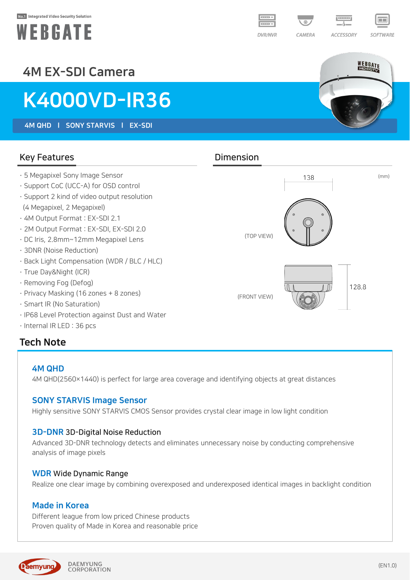#### No.1 Integrated Video Security Solution





WEBGATE

**ACCESSORY** 

SOFTWARE

# 4M EX-SDI Camera

# K4000VD-IR36

4M QHD l SONY STARVIS l EX-SDI

#### Key Features **Dimension**

- · 5 Megapixel Sony Image Sensor
- · Support CoC (UCC-A) for OSD control
- · Support 2 kind of video output resolution (4 Megapixel, 2 Megapixel)
- · 4M Output Format : EX-SDI 2.1
- · 2M Output Format : EX-SDI, EX-SDI 2.0
- · DC Iris, 2.8mm~12mm Megapixel Lens
- · 3DNR (Noise Reduction)
- · Back Light Compensation (WDR / BLC / HLC)
- · True Day&Night (ICR)
- · Removing Fog (Defog)
- · Privacy Masking (16 zones + 8 zones)
- · Smart IR (No Saturation)
- · IP68 Level Protection against Dust and Water
- · Internal IR LED : 36 pcs

### Tech Note

#### 4M QHD

4M QHD(2560×1440) is perfect for large area coverage and identifying objects at great distances

#### SONY STARVIS Image Sensor

Highly sensitive SONY STARVIS CMOS Sensor provides crystal clear image in low light condition

#### 3D-DNR 3D-Digital Noise Reduction

Advanced 3D-DNR technology detects and eliminates unnecessary noise by conducting comprehensive analysis of image pixels

#### WDR Wide Dynamic Range

Realize one clear image by combining overexposed and underexposed identical images in backlight condition

#### Made in Korea

Different league from low priced Chinese products Proven quality of Made in Korea and reasonable price